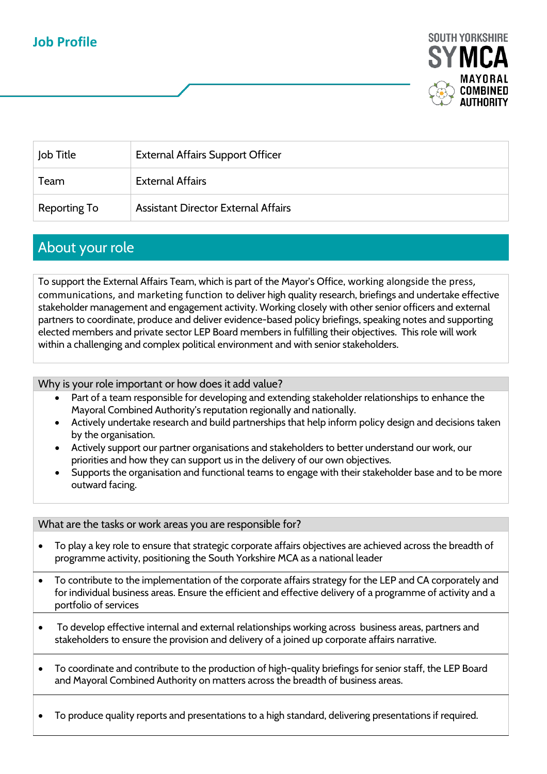## **Job Profile**



| Job Title    | <b>External Affairs Support Officer</b>    |
|--------------|--------------------------------------------|
| Team         | <b>External Affairs</b>                    |
| Reporting To | <b>Assistant Director External Affairs</b> |

## About your role

To support the External Affairs Team, which is part of the Mayor's Office, working alongside the press, communications, and marketing function to deliver high quality research, briefings and undertake effective stakeholder management and engagement activity. Working closely with other senior officers and external partners to coordinate, produce and deliver evidence-based policy briefings, speaking notes and supporting elected members and private sector LEP Board members in fulfilling their objectives. This role will work within a challenging and complex political environment and with senior stakeholders.

Why is your role important or how does it add value?

- Part of a team responsible for developing and extending stakeholder relationships to enhance the Mayoral Combined Authority's reputation regionally and nationally.
- Actively undertake research and build partnerships that help inform policy design and decisions taken by the organisation.
- Actively support our partner organisations and stakeholders to better understand our work, our priorities and how they can support us in the delivery of our own objectives.
- Supports the organisation and functional teams to engage with their stakeholder base and to be more outward facing.

#### What are the tasks or work areas you are responsible for?

- To play a key role to ensure that strategic corporate affairs objectives are achieved across the breadth of programme activity, positioning the South Yorkshire MCA as a national leader
- To contribute to the implementation of the corporate affairs strategy for the LEP and CA corporately and for individual business areas. Ensure the efficient and effective delivery of a programme of activity and a portfolio of services
- To develop effective internal and external relationships working across business areas, partners and stakeholders to ensure the provision and delivery of a joined up corporate affairs narrative.
- To coordinate and contribute to the production of high-quality briefings for senior staff, the LEP Board and Mayoral Combined Authority on matters across the breadth of business areas.
- To produce quality reports and presentations to a high standard, delivering presentations if required.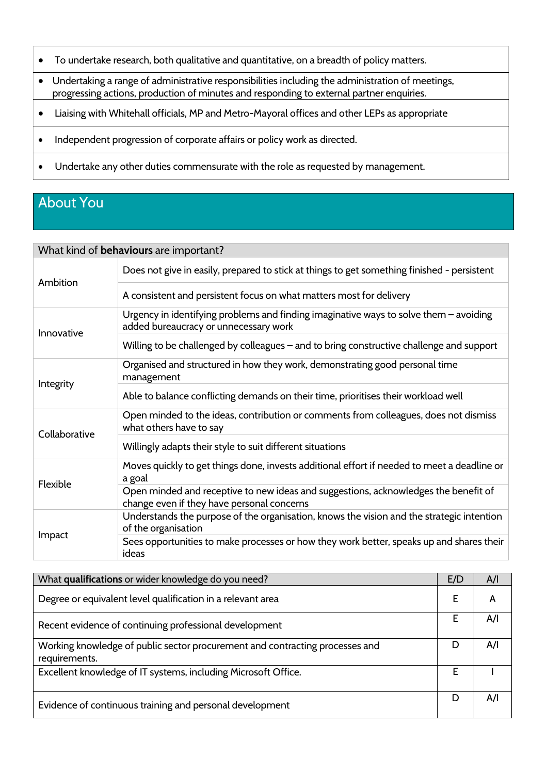- To undertake research, both qualitative and quantitative, on a breadth of policy matters.
- Undertaking a range of administrative responsibilities including the administration of meetings, progressing actions, production of minutes and responding to external partner enquiries.
- Liaising with Whitehall officials, MP and Metro-Mayoral offices and other LEPs as appropriate
- Independent progression of corporate affairs or policy work as directed.
- Undertake any other duties commensurate with the role as requested by management.

# About You

### What kind of **behaviours** are important?

| Ambition        | Does not give in easily, prepared to stick at things to get something finished - persistent                                       |
|-----------------|-----------------------------------------------------------------------------------------------------------------------------------|
|                 | A consistent and persistent focus on what matters most for delivery                                                               |
| Innovative      | Urgency in identifying problems and finding imaginative ways to solve them - avoiding<br>added bureaucracy or unnecessary work    |
|                 | Willing to be challenged by colleagues – and to bring constructive challenge and support                                          |
| Integrity       | Organised and structured in how they work, demonstrating good personal time<br>management                                         |
|                 | Able to balance conflicting demands on their time, prioritises their workload well                                                |
| Collaborative   | Open minded to the ideas, contribution or comments from colleagues, does not dismiss<br>what others have to say                   |
|                 | Willingly adapts their style to suit different situations                                                                         |
| <b>Flexible</b> | Moves quickly to get things done, invests additional effort if needed to meet a deadline or<br>a goal                             |
|                 | Open minded and receptive to new ideas and suggestions, acknowledges the benefit of<br>change even if they have personal concerns |
| Impact          | Understands the purpose of the organisation, knows the vision and the strategic intention<br>of the organisation                  |
|                 | Sees opportunities to make processes or how they work better, speaks up and shares their<br>ideas                                 |

| What qualifications or wider knowledge do you need?                                           |   | A/I |
|-----------------------------------------------------------------------------------------------|---|-----|
| Degree or equivalent level qualification in a relevant area                                   |   | А   |
| Recent evidence of continuing professional development                                        |   | A/I |
| Working knowledge of public sector procurement and contracting processes and<br>requirements. |   | A/I |
| Excellent knowledge of IT systems, including Microsoft Office.                                |   |     |
| Evidence of continuous training and personal development                                      | D | A/I |